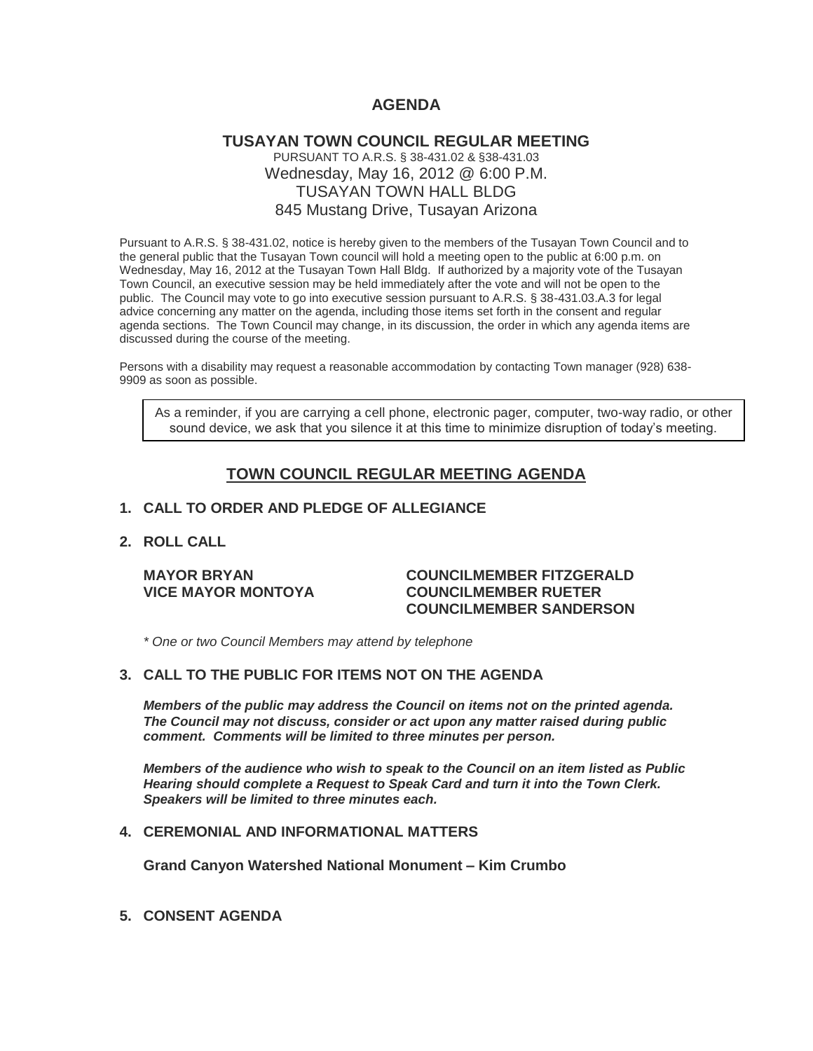# **AGENDA**

## **TUSAYAN TOWN COUNCIL REGULAR MEETING** PURSUANT TO A.R.S. § 38-431.02 & §38-431.03 Wednesday, May 16, 2012 @ 6:00 P.M. TUSAYAN TOWN HALL BLDG 845 Mustang Drive, Tusayan Arizona

Pursuant to A.R.S. § 38-431.02, notice is hereby given to the members of the Tusayan Town Council and to the general public that the Tusayan Town council will hold a meeting open to the public at 6:00 p.m. on Wednesday, May 16, 2012 at the Tusayan Town Hall Bldg. If authorized by a majority vote of the Tusayan Town Council, an executive session may be held immediately after the vote and will not be open to the public. The Council may vote to go into executive session pursuant to A.R.S. § 38-431.03.A.3 for legal advice concerning any matter on the agenda, including those items set forth in the consent and regular agenda sections. The Town Council may change, in its discussion, the order in which any agenda items are discussed during the course of the meeting.

Persons with a disability may request a reasonable accommodation by contacting Town manager (928) 638- 9909 as soon as possible.

As a reminder, if you are carrying a cell phone, electronic pager, computer, two-way radio, or other sound device, we ask that you silence it at this time to minimize disruption of today's meeting.

# **TOWN COUNCIL REGULAR MEETING AGENDA**

#### **1. CALL TO ORDER AND PLEDGE OF ALLEGIANCE**

## **2. ROLL CALL**

#### **MAYOR BRYAN COUNCILMEMBER FITZGERALD VICE MAYOR MONTOYA COUNCILMEMBER RUETER COUNCILMEMBER SANDERSON**

*\* One or two Council Members may attend by telephone*

## **3. CALL TO THE PUBLIC FOR ITEMS NOT ON THE AGENDA**

*Members of the public may address the Council* **o***n items not on the printed agenda. The Council may not discuss, consider or act upon any matter raised during public comment. Comments will be limited to three minutes per person.*

*Members of the audience who wish to speak to the Council on an item listed as Public Hearing should complete a Request to Speak Card and turn it into the Town Clerk. Speakers will be limited to three minutes each.*

## **4. CEREMONIAL AND INFORMATIONAL MATTERS**

**Grand Canyon Watershed National Monument – Kim Crumbo**

**5. CONSENT AGENDA**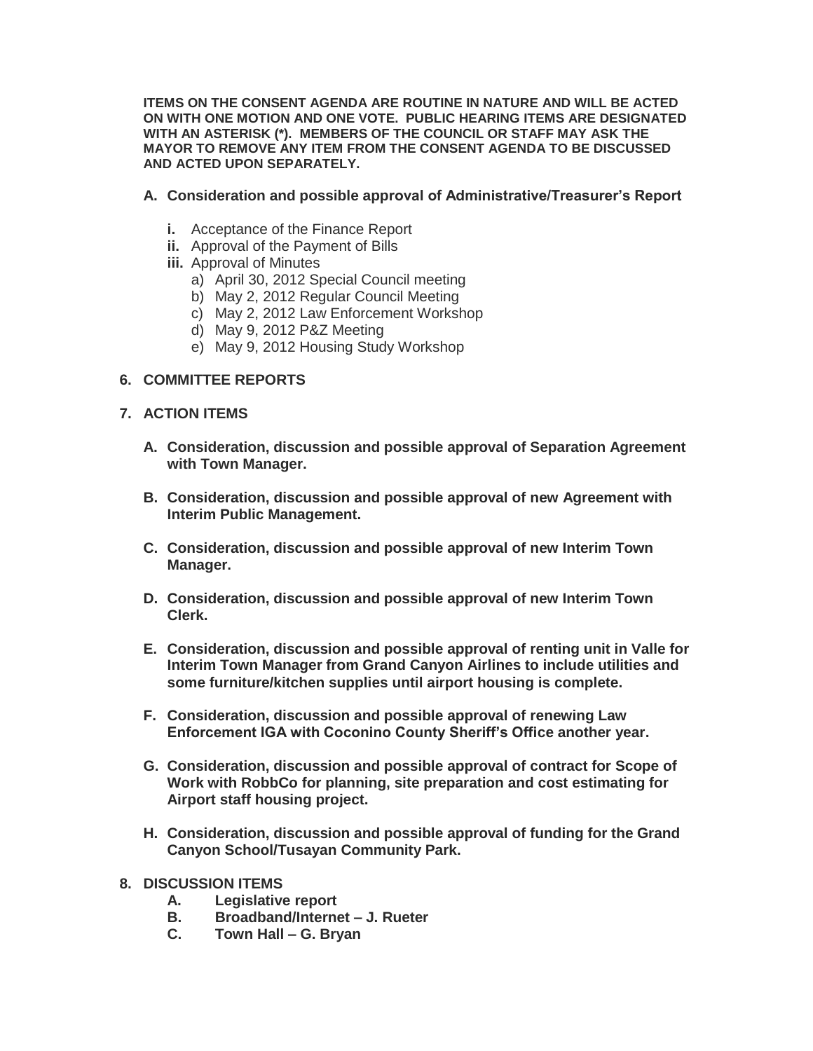**ITEMS ON THE CONSENT AGENDA ARE ROUTINE IN NATURE AND WILL BE ACTED ON WITH ONE MOTION AND ONE VOTE. PUBLIC HEARING ITEMS ARE DESIGNATED WITH AN ASTERISK (\*). MEMBERS OF THE COUNCIL OR STAFF MAY ASK THE MAYOR TO REMOVE ANY ITEM FROM THE CONSENT AGENDA TO BE DISCUSSED AND ACTED UPON SEPARATELY.**

## **A. Consideration and possible approval of Administrative/Treasurer's Report**

- **i.** Acceptance of the Finance Report
- **ii.** Approval of the Payment of Bills
- **iii.** Approval of Minutes
	- a) April 30, 2012 Special Council meeting
	- b) May 2, 2012 Regular Council Meeting
	- c) May 2, 2012 Law Enforcement Workshop
	- d) May 9, 2012 P&Z Meeting
	- e) May 9, 2012 Housing Study Workshop

## **6. COMMITTEE REPORTS**

- **7. ACTION ITEMS** 
	- **A. Consideration, discussion and possible approval of Separation Agreement with Town Manager.**
	- **B. Consideration, discussion and possible approval of new Agreement with Interim Public Management.**
	- **C. Consideration, discussion and possible approval of new Interim Town Manager.**
	- **D. Consideration, discussion and possible approval of new Interim Town Clerk.**
	- **E. Consideration, discussion and possible approval of renting unit in Valle for Interim Town Manager from Grand Canyon Airlines to include utilities and some furniture/kitchen supplies until airport housing is complete.**
	- **F. Consideration, discussion and possible approval of renewing Law Enforcement IGA with Coconino County Sheriff's Office another year.**
	- **G. Consideration, discussion and possible approval of contract for Scope of Work with RobbCo for planning, site preparation and cost estimating for Airport staff housing project.**
	- **H. Consideration, discussion and possible approval of funding for the Grand Canyon School/Tusayan Community Park.**
- **8. DISCUSSION ITEMS**
	- **A. Legislative report**
	- **B. Broadband/Internet – J. Rueter**
	- **C. Town Hall – G. Bryan**